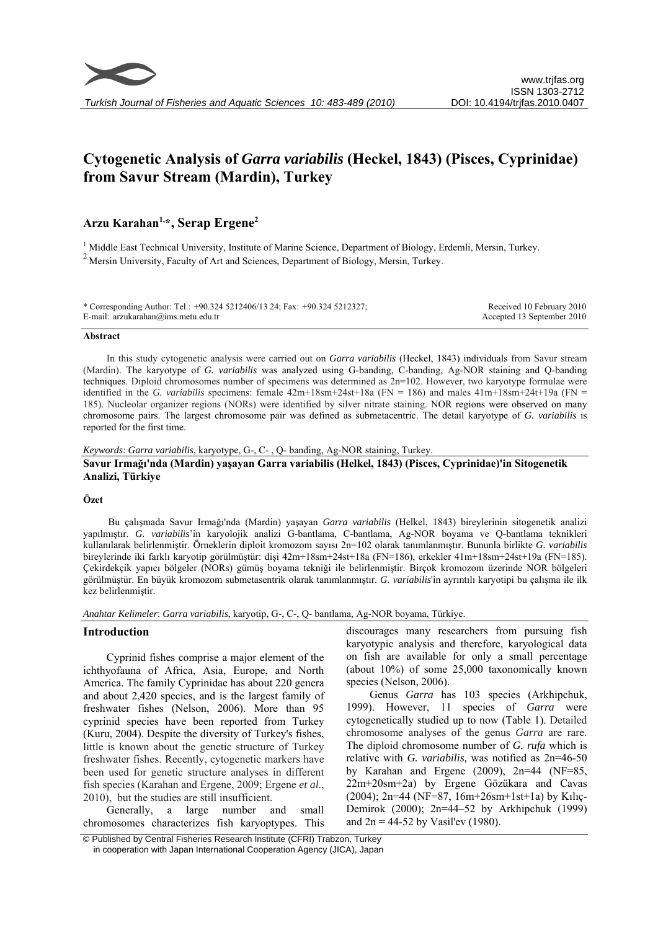

# **Cytogenetic Analysis of** *Garra variabilis* **(Heckel, 1843) (Pisces, Cyprinidae) from Savur Stream (Mardin), Turkey**

## **Arzu Karahan1,\*, Serap Ergene2**

<sup>1</sup> Middle East Technical University, Institute of Marine Science, Department of Biology, Erdemli, Mersin, Turkey.  $2$  Mersin University. Faculty of Art and Sciences, Department of Biology, Mersin, Turkey.

\* Corresponding Author: Tel.: +90.324 5212406/13 24; Fax: +90.324 5212327; E-mail: arzukarahan@ims.metu.edu.tr Received 10 February 2010 Accepted 13 September 2010

#### **Abstract**

In this study cytogenetic analysis were carried out on *Garra variabilis* (Heckel, 1843) individuals from Savur stream (Mardin). The karyotype of *G. variabilis* was analyzed using G-banding, C-banding, Ag-NOR staining and Q-banding techniques. Diploid chromosomes number of specimens was determined as 2n=102. However, two karyotype formulae were identified in the *G. variabilis* specimens: female  $42m+18sm+24st+18a$  (FN = 186) and males  $41m+18sm+24t+19a$  (FN = 185). Nucleolar organizer regions (NORs) were identified by silver nitrate staining. NOR regions were observed on many chromosome pairs. The largest chromosome pair was defined as submetacentric. The detail karyotype of *G. variabilis* is reported for the first time.

*Keywords*: *Garra variabilis,* karyotype, G-, C- , Q- banding, Ag-NOR staining, Turkey. **Savur Irmağı'nda (Mardin) yaşayan Garra variabilis (Helkel, 1843) (Pisces, Cyprinidae)'in Sitogenetik Analizi, Türkiye** 

#### **Özet**

Bu çalışmada Savur Irmağı'nda (Mardin) yaşayan *Garra variabilis* (Helkel, 1843) bireylerinin sitogenetik analizi yapılmıştır. *G. variabilis*'in karyolojik analizi G-bantlama, C-bantlama, Ag-NOR boyama ve Q-bantlama teknikleri kullanılarak belirlenmiştir. Örneklerin diploit kromozom sayısı 2n=102 olarak tanımlanmıştır. Bununla birlikte *G. variabilis* bireylerinde iki farklı karyotip görülmüştür: dişi 42m+18sm+24st+18a (FN=186), erkekler 41m+18sm+24st+19a (FN=185). Çekirdekçik yapıcı bölgeler (NORs) gümüş boyama tekniği ile belirlenmiştir. Birçok kromozom üzerinde NOR bölgeleri görülmüştür. En büyük kromozom submetasentrik olarak tanımlanmıştır. *G. variabilis*'in ayrıntılı karyotipi bu çalışma ile ilk kez belirlenmiştir.

*Anahtar Kelimeler*: *Garra variabilis*, karyotip, G-, C-, Q- bantlama, Ag-NOR boyama, Türkiye.

#### **Introduction**

Cyprinid fishes comprise a major element of the ichthyofauna of Africa, Asia, Europe, and North America. The family Cyprinidae has about 220 genera and about 2,420 species, and is the largest family of freshwater fishes (Nelson, 2006). More than 95 cyprinid species have been reported from Turkey (Kuru, 2004). Despite the diversity of Turkey's fishes, little is known about the genetic structure of Turkey freshwater fishes. Recently, cytogenetic markers have been used for genetic structure analyses in different fish species (Karahan and Ergene, 2009; Ergene *et al*., 2010), but the studies are still insufficient.

Generally, a large number and small chromosomes characterizes fish karyoptypes. This discourages many researchers from pursuing fish karyotypic analysis and therefore, karyological data on fish are available for only a small percentage (about 10%) of some 25,000 taxonomically known species (Nelson, 2006).

Genus *Garra* has 103 species (Arkhipchuk, 1999). However, 11 species of *Garra* were cytogenetically studied up to now (Table 1). Detailed chromosome analyses of the genus *Garra* are rare. The diploid chromosome number of *G. rufa* which is relative with *G. variabilis,* was notified as 2n=46-50 by Karahan and Ergene (2009), 2n=44 (NF=85, 22m+20sm+2a) by Ergene Gözükara and Cavas (2004); 2n=44 (NF=87, 16m+26sm+1st+1a) by Kılıç-Demirok (2000); 2n=44–52 by Arkhipchuk (1999) and  $2n = 44-52$  by Vasil'ev (1980).

 <sup>©</sup> Published by Central Fisheries Research Institute (CFRI) Trabzon, Turkey in cooperation with Japan International Cooperation Agency (JICA), Japan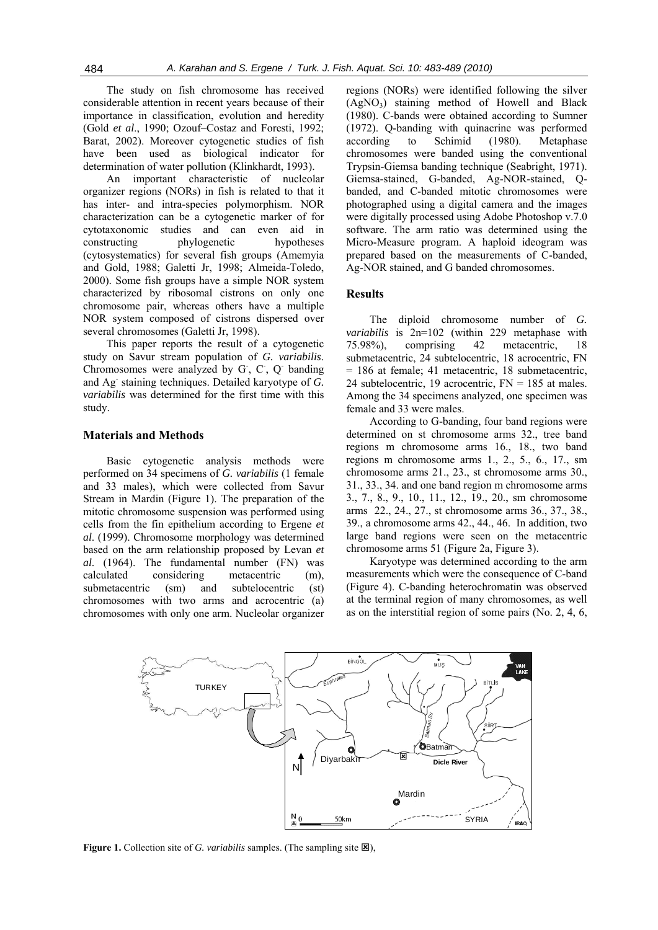The study on fish chromosome has received considerable attention in recent years because of their importance in classification, evolution and heredity (Gold *et al*., 1990; Ozouf–Costaz and Foresti, 1992; Barat, 2002). Moreover cytogenetic studies of fish have been used as biological indicator for determination of water pollution (Klinkhardt, 1993).

An important characteristic of nucleolar organizer regions (NORs) in fish is related to that it has inter- and intra-species polymorphism. NOR characterization can be a cytogenetic marker of for cytotaxonomic studies and can even aid in constructing phylogenetic hypotheses (cytosystematics) for several fish groups (Amemyia and Gold, 1988; Galetti Jr, 1998; Almeida-Toledo, 2000). Some fish groups have a simple NOR system characterized by ribosomal cistrons on only one chromosome pair, whereas others have a multiple NOR system composed of cistrons dispersed over several chromosomes (Galetti Jr, 1998).

This paper reports the result of a cytogenetic study on Savur stream population of *G. variabilis*. Chromosomes were analyzed by G, C, Q banding and Ag- staining techniques. Detailed karyotype of *G. variabilis* was determined for the first time with this study.

## **Materials and Methods**

Basic cytogenetic analysis methods were performed on 34 specimens of *G. variabilis* (1 female and 33 males), which were collected from Savur Stream in Mardin (Figure 1). The preparation of the mitotic chromosome suspension was performed using cells from the fin epithelium according to Ergene *et al*. (1999). Chromosome morphology was determined based on the arm relationship proposed by Levan *et al*. (1964). The fundamental number (FN) was calculated considering metacentric (m), submetacentric (sm) and subtelocentric (st) chromosomes with two arms and acrocentric (a) chromosomes with only one arm. Nucleolar organizer

regions (NORs) were identified following the silver  $(AgNO<sub>3</sub>)$  staining method of Howell and Black (1980). C-bands were obtained according to Sumner (1972). Q-banding with quinacrine was performed according to Schimid (1980). Metaphase chromosomes were banded using the conventional Trypsin-Giemsa banding technique (Seabright, 1971). Giemsa-stained, G-banded, Ag-NOR-stained, Qbanded, and C-banded mitotic chromosomes were photographed using a digital camera and the images were digitally processed using Adobe Photoshop v.7.0 software. The arm ratio was determined using the Micro-Measure program. A haploid ideogram was prepared based on the measurements of C-banded, Ag-NOR stained, and G banded chromosomes.

#### **Results**

The diploid chromosome number of *G. variabilis* is 2n=102 (within 229 metaphase with 75.98%), comprising 42 metacentric, 18 submetacentric, 24 subtelocentric, 18 acrocentric, FN = 186 at female; 41 metacentric, 18 submetacentric, 24 subtelocentric, 19 acrocentric,  $FN = 185$  at males. Among the 34 specimens analyzed, one specimen was female and 33 were males.

According to G-banding, four band regions were determined on st chromosome arms 32., tree band regions m chromosome arms 16., 18., two band regions m chromosome arms 1., 2., 5., 6., 17., sm chromosome arms 21., 23., st chromosome arms 30., 31., 33., 34. and one band region m chromosome arms 3., 7., 8., 9., 10., 11., 12., 19., 20., sm chromosome arms 22., 24., 27., st chromosome arms 36., 37., 38., 39., a chromosome arms 42., 44., 46. In addition, two large band regions were seen on the metacentric chromosome arms 51 (Figure 2a, Figure 3).

Karyotype was determined according to the arm measurements which were the consequence of C-band (Figure 4). C-banding heterochromatin was observed at the terminal region of many chromosomes, as well as on the interstitial region of some pairs (No. 2, 4, 6,



**Figure 1.** Collection site of *G. variabilis* samples. (The sampling site  $\boxtimes$ ),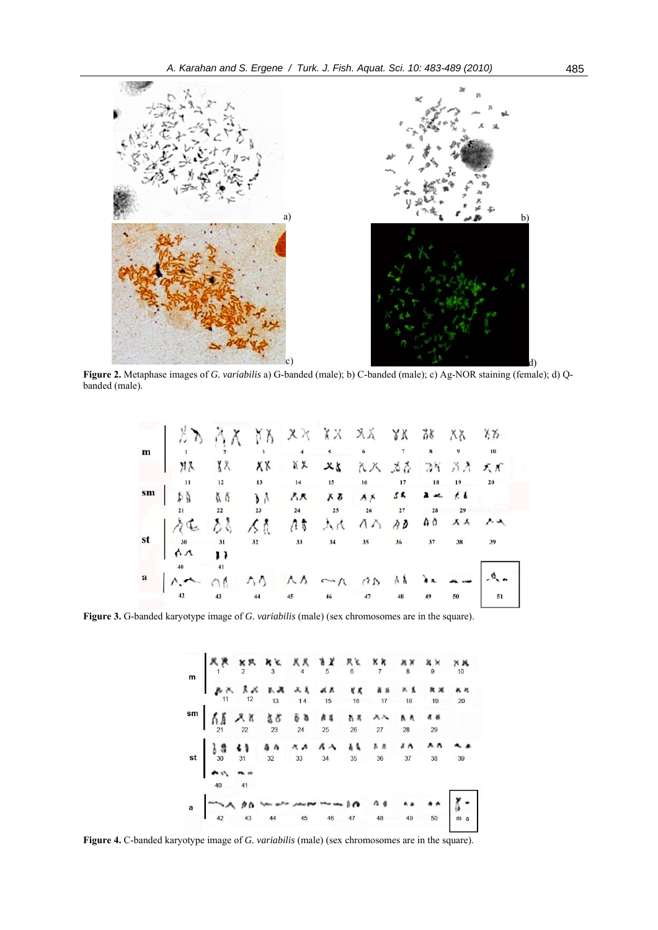

**Figure 2.** Metaphase images of *G. variabilis* a) G-banded (male); b) C-banded (male); c) Ag-NOR staining (female); d) Qbanded (male).

| $\text{st} \quad \begin{array}{cccccccccccccccccc} \sqrt[3]{4} & \sqrt[4]{5} & \sqrt[3]{5} & \sqrt[4]{5} & \sqrt[3]{5} & \sqrt[3]{5} & \sqrt[3]{5} & \sqrt[3]{5} & \sqrt[3]{5} & \sqrt[3]{5} & \sqrt[3]{5} & \sqrt[3]{5} & \sqrt[3]{5} & \sqrt[3]{5} & \sqrt[3]{5} & \sqrt[3]{5} & \sqrt[3]{5} & \sqrt[3]{5} & \sqrt[3]{5} & \sqrt[3]{5} & \sqrt[3]{5} & \sqrt[3]{5} & \sqrt[3]{5} & \sqrt[3]{5} & \sqrt[3]{5} & \sqrt$ |  |  |  |  |  |
|-------------------------------------------------------------------------------------------------------------------------------------------------------------------------------------------------------------------------------------------------------------------------------------------------------------------------------------------------------------------------------------------------------------------------|--|--|--|--|--|
|                                                                                                                                                                                                                                                                                                                                                                                                                         |  |  |  |  |  |
|                                                                                                                                                                                                                                                                                                                                                                                                                         |  |  |  |  |  |
|                                                                                                                                                                                                                                                                                                                                                                                                                         |  |  |  |  |  |
|                                                                                                                                                                                                                                                                                                                                                                                                                         |  |  |  |  |  |
|                                                                                                                                                                                                                                                                                                                                                                                                                         |  |  |  |  |  |

**Figure 3.** G-banded karyotype image of *G. variabilis* (male) (sex chromosomes are in the square).

**Figure 4.** C-banded karyotype image of *G. variabilis* (male) (sex chromosomes are in the square).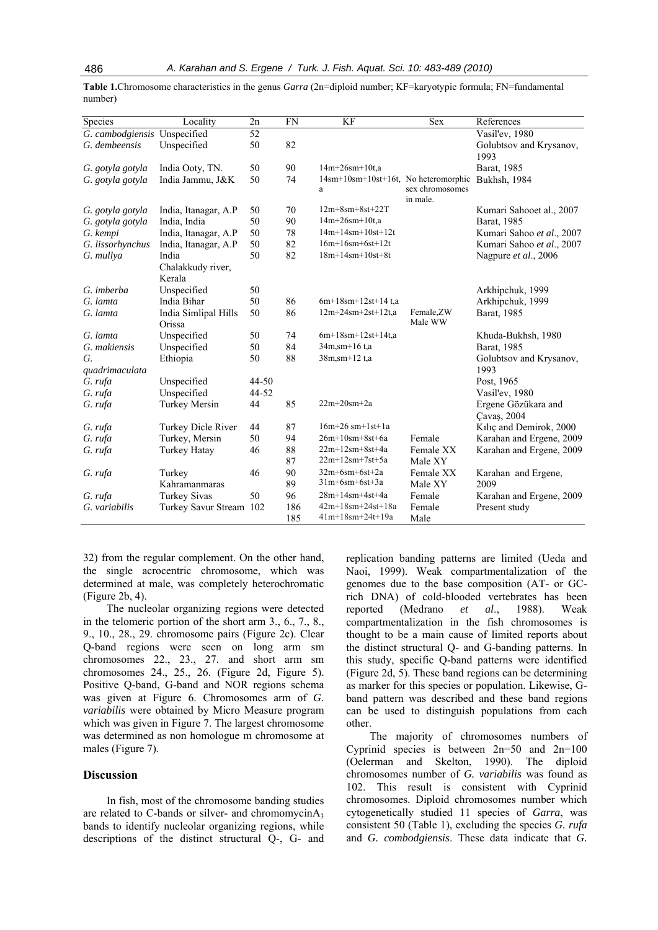| Species                      | Locality                | 2n    | <b>FN</b> | KF                                   | <b>Sex</b>                  | References                |
|------------------------------|-------------------------|-------|-----------|--------------------------------------|-----------------------------|---------------------------|
| G. cambodgiensis Unspecified |                         | 52    |           |                                      |                             | Vasil'ev, 1980            |
| G. dembeensis                | Unspecified             | 50    | 82        |                                      |                             | Golubtsov and Krysanov,   |
|                              |                         |       |           |                                      |                             | 1993                      |
| G. gotyla gotyla             | India Ooty, TN.         | 50    | 90        | $14m+26sm+10t.a$                     |                             | Barat, 1985               |
| G. gotyla gotyla             | India Jammu, J&K        | 50    | 74        | 14sm+10sm+10st+16t, No heteromorphic |                             | Bukhsh, 1984              |
|                              |                         |       |           | a                                    | sex chromosomes<br>in male. |                           |
| G. gotyla gotyla             | India, Itanagar, A.P    | 50    | 70        | $12m+8sm+8st+22T$                    |                             | Kumari Sahooet al., 2007  |
| G. gotyla gotyla             | India, India            | 50    | 90        | $14m+26sm+10t$ ,a                    |                             | Barat, 1985               |
| G. kempi                     | India, Itanagar, A.P    | 50    | 78        | $14m+14sm+10st+12t$                  |                             | Kumari Sahoo et al., 2007 |
| G. lissorhynchus             | India, Itanagar, A.P    | 50    | 82        | $16m+16sm+6st+12t$                   |                             | Kumari Sahoo et al., 2007 |
| G. mullya                    | India                   | 50    | 82        | $18m+14sm+10st+8t$                   |                             | Nagpure et al., 2006      |
|                              | Chalakkudy river,       |       |           |                                      |                             |                           |
|                              | Kerala                  |       |           |                                      |                             |                           |
| G. imberba                   | Unspecified             | 50    |           |                                      |                             | Arkhipchuk, 1999          |
| G. lamta                     | India Bihar             | 50    | 86        | $6m+18sm+12st+14$ t.a                |                             | Arkhipchuk, 1999          |
| G. lamta                     | India Simlipal Hills    | 50    | 86        | $12m+24sm+2st+12t.a$                 | Female,ZW                   | Barat, 1985               |
|                              | Orissa                  |       |           |                                      | Male WW                     |                           |
| G. lamta                     | Unspecified             | 50    | 74        | $6m+18sm+12st+14t$ ,a                |                             | Khuda-Bukhsh, 1980        |
| G. makiensis                 | Unspecified             | 50    | 84        | $34m, sm+16$ t,a                     |                             | Barat, 1985               |
| G.                           | Ethiopia                | 50    | 88        | 38m, sm+12 t, a                      |                             | Golubtsov and Krysanov,   |
| quadrimaculata               |                         |       |           |                                      |                             | 1993                      |
| G. rufa                      | Unspecified             | 44-50 |           |                                      |                             | Post, 1965                |
| G. rufa                      | Unspecified             | 44-52 |           |                                      |                             | Vasil'ev, 1980            |
| G. rufa                      | <b>Turkey Mersin</b>    | 44    | 85        | $22m+20$ sm $+2a$                    |                             | Ergene Gözükara and       |
|                              |                         |       |           |                                      |                             | Çavaş, 2004               |
| G. rufa                      | Turkey Dicle River      | 44    | 87        | $16m+26$ sm+1st+1a                   |                             | Kiliç and Demirok, 2000   |
| G. rufa                      | Turkey, Mersin          | 50    | 94        | $26m+10$ sm+ $8st+6a$                | Female                      | Karahan and Ergene, 2009  |
| G. rufa                      | Turkey Hatay            | 46    | 88        | $22m+12sm+8st+4a$                    | Female XX                   | Karahan and Ergene, 2009  |
|                              |                         |       | 87        | $22m+12sm+7st+5a$                    | Male XY                     |                           |
| G. rufa                      | Turkey                  | 46    | 90        | $32m+6sm+6st+2a$                     | Female XX                   | Karahan and Ergene,       |
|                              | Kahramanmaras           |       | 89        | $31m+6sm+6st+3a$                     | Male XY                     | 2009                      |
| G. rufa                      | <b>Turkey Sivas</b>     | 50    | 96        | $28m+14sm+4st+4a$                    | Female                      | Karahan and Ergene, 2009  |
| G. variabilis                | Turkey Savur Stream 102 |       | 186       | $42m+18sm+24st+18a$                  | Female                      | Present study             |
|                              |                         |       | 185       | $41m+18sm+24t+19a$                   | Male                        |                           |

**Table 1.**Chromosome characteristics in the genus *Garra* (2n=diploid number; KF=karyotypic formula; FN=fundamental number)

32) from the regular complement. On the other hand, the single acrocentric chromosome, which was determined at male, was completely heterochromatic (Figure 2b, 4).

The nucleolar organizing regions were detected in the telomeric portion of the short arm 3., 6., 7., 8., 9., 10., 28., 29. chromosome pairs (Figure 2c). Clear Q-band regions were seen on long arm sm chromosomes 22., 23., 27. and short arm sm chromosomes 24., 25., 26. (Figure 2d, Figure 5). Positive Q-band, G-band and NOR regions schema was given at Figure 6. Chromosomes arm of *G. variabilis* were obtained by Micro Measure program which was given in Figure 7. The largest chromosome was determined as non homologue m chromosome at males (Figure 7).

### **Discussion**

In fish, most of the chromosome banding studies are related to C-bands or silver- and chromomycinA<sub>3</sub> bands to identify nucleolar organizing regions, while descriptions of the distinct structural Q-, G- and

replication banding patterns are limited (Ueda and Naoi, 1999). Weak compartmentalization of the genomes due to the base composition (AT- or GCrich DNA) of cold-blooded vertebrates has been reported (Medrano *et al*., 1988). Weak compartmentalization in the fish chromosomes is thought to be a main cause of limited reports about the distinct structural Q- and G-banding patterns. In this study, specific Q-band patterns were identified (Figure 2d, 5). These band regions can be determining as marker for this species or population. Likewise, Gband pattern was described and these band regions can be used to distinguish populations from each other.

The majority of chromosomes numbers of Cyprinid species is between 2n=50 and 2n=100 (Oelerman and Skelton, 1990). The diploid chromosomes number of *G. variabilis* was found as 102. This result is consistent with Cyprinid chromosomes. Diploid chromosomes number which cytogenetically studied 11 species of *Garra*, was consistent 50 (Table 1), excluding the species *G. rufa* and *G. combodgiensis*. These data indicate that *G.*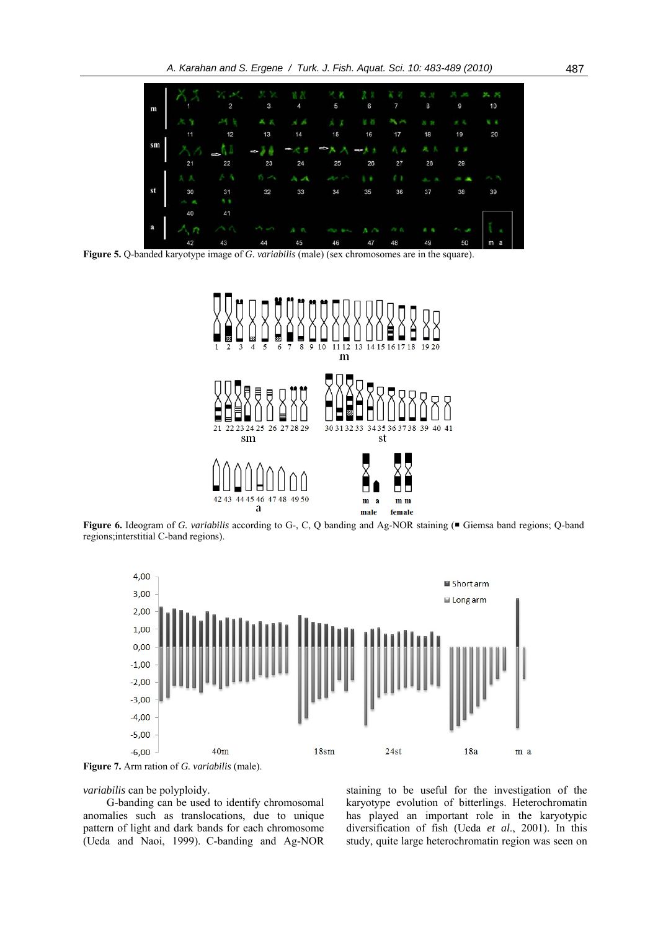

**Figure 5.** Q-banded karyotype image of *G. variabilis* (male) (sex chromosomes are in the square).



Figure 6. Ideogram of *G. variabilis* according to G-, C, Q banding and Ag-NOR staining ( $\blacksquare$  Giemsa band regions; Q-band regions;interstitial C-band regions).



**Figure 7.** Arm ration of *G. variabilis* (male).

*variabilis* can be polyploidy.

G-banding can be used to identify chromosomal anomalies such as translocations, due to unique pattern of light and dark bands for each chromosome (Ueda and Naoi, 1999). C-banding and Ag-NOR staining to be useful for the investigation of the karyotype evolution of bitterlings. Heterochromatin has played an important role in the karyotypic diversification of fish (Ueda *et al*., 2001). In this study, quite large heterochromatin region was seen on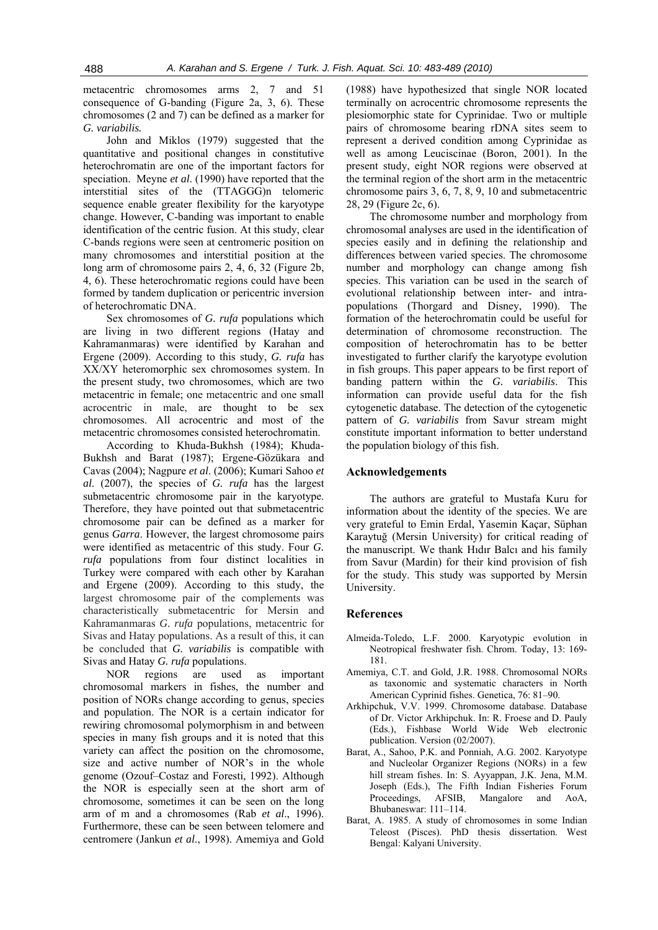metacentric chromosomes arms 2, 7 and 51 consequence of G-banding (Figure 2a, 3, 6). These chromosomes (2 and 7) can be defined as a marker for *G. variabilis.* 

John and Miklos (1979) suggested that the quantitative and positional changes in constitutive heterochromatin are one of the important factors for speciation. Meyne *et al*. (1990) have reported that the interstitial sites of the (TTAGGG)n telomeric sequence enable greater flexibility for the karyotype change. However, C-banding was important to enable identification of the centric fusion. At this study, clear C-bands regions were seen at centromeric position on many chromosomes and interstitial position at the long arm of chromosome pairs 2, 4, 6, 32 (Figure 2b, 4, 6). These heterochromatic regions could have been formed by tandem duplication or pericentric inversion of heterochromatic DNA.

Sex chromosomes of *G. rufa* populations which are living in two different regions (Hatay and Kahramanmaras) were identified by Karahan and Ergene (2009). According to this study, *G. rufa* has XX/XY heteromorphic sex chromosomes system. In the present study, two chromosomes, which are two metacentric in female; one metacentric and one small acrocentric in male, are thought to be sex chromosomes. All acrocentric and most of the metacentric chromosomes consisted heterochromatin.

According to Khuda-Bukhsh (1984); Khuda-Bukhsh and Barat (1987); Ergene-Gözükara and Cavas (2004); Nagpure *et al*. (2006); Kumari Sahoo *et al*. (2007), the species of *G. rufa* has the largest submetacentric chromosome pair in the karyotype. Therefore, they have pointed out that submetacentric chromosome pair can be defined as a marker for genus *Garra*. However, the largest chromosome pairs were identified as metacentric of this study. Four *G. rufa* populations from four distinct localities in Turkey were compared with each other by Karahan and Ergene (2009). According to this study, the largest chromosome pair of the complements was characteristically submetacentric for Mersin and Kahramanmaras *G. rufa* populations, metacentric for Sivas and Hatay populations. As a result of this, it can be concluded that *G. variabilis* is compatible with Sivas and Hatay *G. rufa* populations.

NOR regions are used as important chromosomal markers in fishes, the number and position of NORs change according to genus, species and population. The NOR is a certain indicator for rewiring chromosomal polymorphism in and between species in many fish groups and it is noted that this variety can affect the position on the chromosome, size and active number of NOR's in the whole genome (Ozouf–Costaz and Foresti, 1992). Although the NOR is especially seen at the short arm of chromosome, sometimes it can be seen on the long arm of m and a chromosomes (Rab *et al*., 1996). Furthermore, these can be seen between telomere and centromere (Jankun *et al*., 1998). Amemiya and Gold

(1988) have hypothesized that single NOR located terminally on acrocentric chromosome represents the plesiomorphic state for Cyprinidae. Two or multiple pairs of chromosome bearing rDNA sites seem to represent a derived condition among Cyprinidae as well as among Leuciscinae (Boron, 2001). In the present study, eight NOR regions were observed at the terminal region of the short arm in the metacentric chromosome pairs 3, 6, 7, 8, 9, 10 and submetacentric 28, 29 (Figure 2c, 6).

The chromosome number and morphology from chromosomal analyses are used in the identification of species easily and in defining the relationship and differences between varied species. The chromosome number and morphology can change among fish species. This variation can be used in the search of evolutional relationship between inter- and intrapopulations (Thorgard and Disney, 1990). The formation of the heterochromatin could be useful for determination of chromosome reconstruction. The composition of heterochromatin has to be better investigated to further clarify the karyotype evolution in fish groups. This paper appears to be first report of banding pattern within the *G. variabilis*. This information can provide useful data for the fish cytogenetic database. The detection of the cytogenetic pattern of *G. variabilis* from Savur stream might constitute important information to better understand the population biology of this fish.

## **Acknowledgements**

The authors are grateful to Mustafa Kuru for information about the identity of the species. We are very grateful to Emin Erdal, Yasemin Kaçar, Süphan Karaytuğ (Mersin University) for critical reading of the manuscript. We thank Hıdır Balcı and his family from Savur (Mardin) for their kind provision of fish for the study. This study was supported by Mersin University.

### **References**

- Almeida-Toledo, L.F. 2000. Karyotypic evolution in Neotropical freshwater fish. Chrom. Today, 13: 169- 181.
- Amemiya, C.T. and Gold, J.R. 1988. Chromosomal NORs as taxonomic and systematic characters in North American Cyprinid fishes. Genetica, 76: 81–90.
- Arkhipchuk, V.V. 1999. Chromosome database. Database of Dr. Victor Arkhipchuk. In: R. Froese and D. Pauly (Eds.), Fishbase World Wide Web electronic publication. Version (02/2007).
- Barat, A., Sahoo, P.K. and Ponniah, A.G. 2002. Karyotype and Nucleolar Organizer Regions (NORs) in a few hill stream fishes. In: S. Ayyappan, J.K. Jena, M.M. Joseph (Eds.), The Fifth Indian Fisheries Forum Proceedings, AFSIB, Mangalore and AoA, Bhubaneswar: 111–114.
- Barat, A. 1985. A study of chromosomes in some Indian Teleost (Pisces). PhD thesis dissertation. West Bengal: Kalyani University.